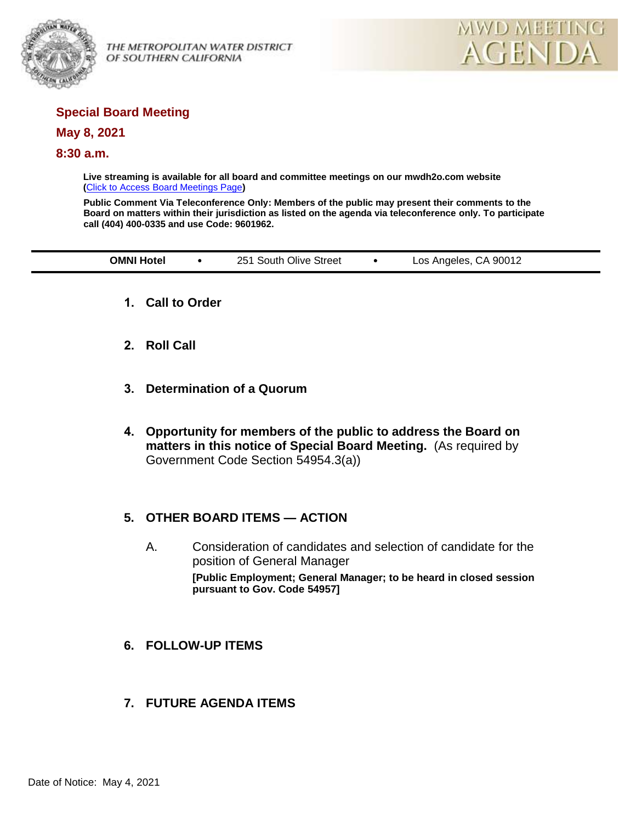

OF SOUTHERN CALIFORNIA



# **Special Board Meeting**

### **May 8, 2021**

### **8:30 a.m.**

**Live streaming is available for all board and committee meetings on our mwdh2o.com website (**[Click to Access Board Meetings Page](http://www.mwdh2o.com/WhoWeAre/Board/Board-Meeting/Pages/default.aspx)**)**

**Public Comment Via Teleconference Only: Members of the public may present their comments to the Board on matters within their jurisdiction as listed on the agenda via teleconference only. To participate call (404) 400-0335 and use Code: 9601962.**

| <b>OMNI Hotel</b><br>251 South Olive Street<br>Los Angeles, CA 90012 |  |  |  |  |  |  |
|----------------------------------------------------------------------|--|--|--|--|--|--|
|----------------------------------------------------------------------|--|--|--|--|--|--|

- **1. Call to Order**
- **2. Roll Call**
- **3. Determination of a Quorum**
- **4. Opportunity for members of the public to address the Board on matters in this notice of Special Board Meeting.** (As required by Government Code Section 54954.3(a))

## **5. OTHER BOARD ITEMS — ACTION**

- A. Consideration of candidates and selection of candidate for the position of General Manager **[Public Employment; General Manager; to be heard in closed session pursuant to Gov. Code 54957]**
- **6. FOLLOW-UP ITEMS**
- **7. FUTURE AGENDA ITEMS**